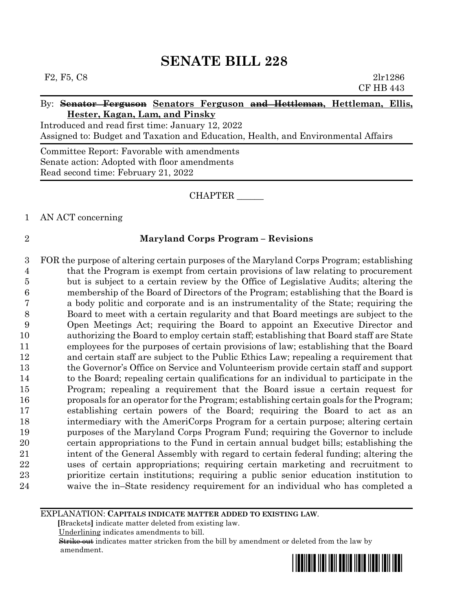## By: **Senator Ferguson Senators Ferguson and Hettleman, Hettleman, Ellis, Hester, Kagan, Lam, and Pinsky**

Introduced and read first time: January 12, 2022 Assigned to: Budget and Taxation and Education, Health, and Environmental Affairs

Committee Report: Favorable with amendments Senate action: Adopted with floor amendments Read second time: February 21, 2022

# CHAPTER \_\_\_\_\_\_

# 1 AN ACT concerning

# 2 **Maryland Corps Program – Revisions**

 FOR the purpose of altering certain purposes of the Maryland Corps Program; establishing that the Program is exempt from certain provisions of law relating to procurement but is subject to a certain review by the Office of Legislative Audits; altering the membership of the Board of Directors of the Program; establishing that the Board is a body politic and corporate and is an instrumentality of the State; requiring the Board to meet with a certain regularity and that Board meetings are subject to the Open Meetings Act; requiring the Board to appoint an Executive Director and authorizing the Board to employ certain staff; establishing that Board staff are State employees for the purposes of certain provisions of law; establishing that the Board and certain staff are subject to the Public Ethics Law; repealing a requirement that the Governor's Office on Service and Volunteerism provide certain staff and support to the Board; repealing certain qualifications for an individual to participate in the Program; repealing a requirement that the Board issue a certain request for proposals for an operator for the Program; establishing certain goals for the Program; establishing certain powers of the Board; requiring the Board to act as an intermediary with the AmeriCorps Program for a certain purpose; altering certain purposes of the Maryland Corps Program Fund; requiring the Governor to include certain appropriations to the Fund in certain annual budget bills; establishing the intent of the General Assembly with regard to certain federal funding; altering the uses of certain appropriations; requiring certain marketing and recruitment to prioritize certain institutions; requiring a public senior education institution to waive the in–State residency requirement for an individual who has completed a

### EXPLANATION: **CAPITALS INDICATE MATTER ADDED TO EXISTING LAW**.

 **[**Brackets**]** indicate matter deleted from existing law.

Underlining indicates amendments to bill.

 Strike out indicates matter stricken from the bill by amendment or deleted from the law by amendment.

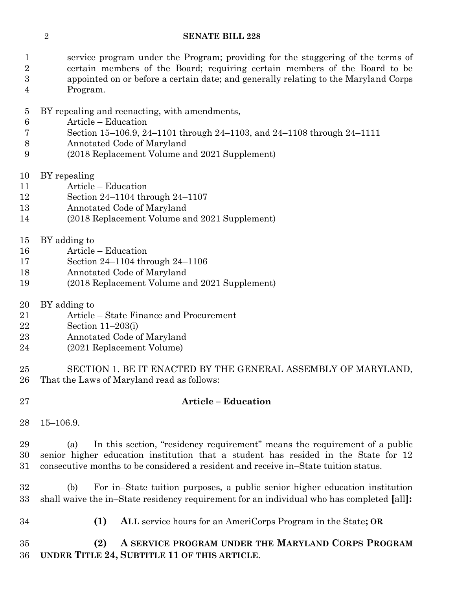service program under the Program; providing for the staggering of the terms of certain members of the Board; requiring certain members of the Board to be appointed on or before a certain date; and generally relating to the Maryland Corps Program.

- BY repealing and reenacting, with amendments,
- Article Education
- Section 15–106.9, 24–1101 through 24–1103, and 24–1108 through 24–1111
- Annotated Code of Maryland
- (2018 Replacement Volume and 2021 Supplement)
- BY repealing
- Article Education
- Section 24–1104 through 24–1107
- Annotated Code of Maryland
- (2018 Replacement Volume and 2021 Supplement)
- BY adding to
- Article Education
- Section 24–1104 through 24–1106
- Annotated Code of Maryland
- (2018 Replacement Volume and 2021 Supplement)
- BY adding to
- Article State Finance and Procurement
- Section 11–203(i)
- Annotated Code of Maryland
- (2021 Replacement Volume)

 SECTION 1. BE IT ENACTED BY THE GENERAL ASSEMBLY OF MARYLAND, That the Laws of Maryland read as follows:

# **Article – Education**

15–106.9.

 (a) In this section, "residency requirement" means the requirement of a public senior higher education institution that a student has resided in the State for 12 consecutive months to be considered a resident and receive in–State tuition status.

 (b) For in–State tuition purposes, a public senior higher education institution shall waive the in–State residency requirement for an individual who has completed **[**all**]:**

**(1) ALL** service hours for an AmeriCorps Program in the State**; OR**

 **(2) A SERVICE PROGRAM UNDER THE MARYLAND CORPS PROGRAM UNDER TITLE 24, SUBTITLE 11 OF THIS ARTICLE**.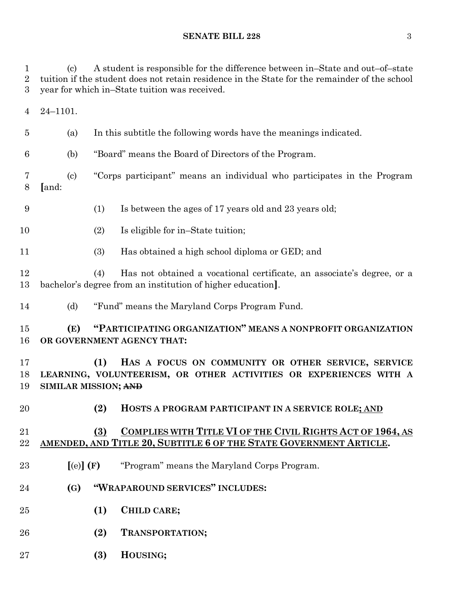(c) A student is responsible for the difference between in–State and out–of–state tuition if the student does not retain residence in the State for the remainder of the school year for which in–State tuition was received.

24–1101.

(a) In this subtitle the following words have the meanings indicated.

(b) "Board" means the Board of Directors of the Program.

 (c) "Corps participant" means an individual who participates in the Program **[**and:

(1) Is between the ages of 17 years old and 23 years old;

10 (2) Is eligible for in–State tuition;

(3) Has obtained a high school diploma or GED; and

 (4) Has not obtained a vocational certificate, an associate's degree, or a bachelor's degree from an institution of higher education**]**.

(d) "Fund" means the Maryland Corps Program Fund.

 **(E) "PARTICIPATING ORGANIZATION" MEANS A NONPROFIT ORGANIZATION OR GOVERNMENT AGENCY THAT:**

 **(1) HAS A FOCUS ON COMMUNITY OR OTHER SERVICE, SERVICE LEARNING, VOLUNTEERISM, OR OTHER ACTIVITIES OR EXPERIENCES WITH A SIMILAR MISSION; AND**

**(2) HOSTS A PROGRAM PARTICIPANT IN A SERVICE ROLE; AND**

# **(3) COMPLIES WITH TITLE VI OF THE CIVIL RIGHTS ACT OF 1964, AS AMENDED, AND TITLE 20, SUBTITLE 6 OF THE STATE GOVERNMENT ARTICLE.**

- **[**(e)**] (F)** "Program" means the Maryland Corps Program.
- **(G) "WRAPAROUND SERVICES" INCLUDES:**
- **(1) CHILD CARE;**
- **(2) TRANSPORTATION;**
- **(3) HOUSING;**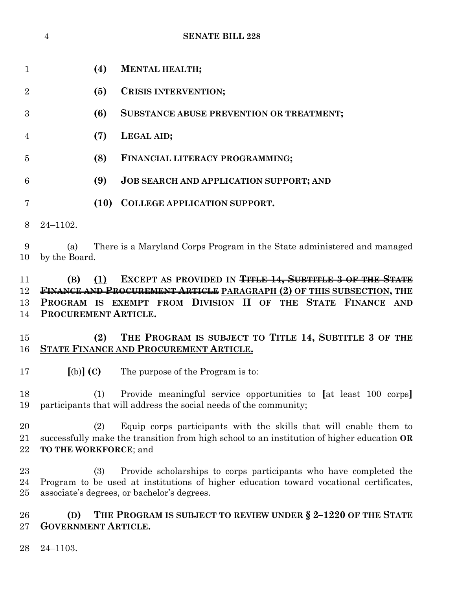|                      | $\overline{4}$                                 |      | <b>SENATE BILL 228</b>                                                                                                                                                                                     |
|----------------------|------------------------------------------------|------|------------------------------------------------------------------------------------------------------------------------------------------------------------------------------------------------------------|
| $\mathbf 1$          |                                                | (4)  | <b>MENTAL HEALTH;</b>                                                                                                                                                                                      |
| $\overline{2}$       |                                                | (5)  | CRISIS INTERVENTION;                                                                                                                                                                                       |
| 3                    |                                                | (6)  | SUBSTANCE ABUSE PREVENTION OR TREATMENT;                                                                                                                                                                   |
| 4                    |                                                | (7)  | LEGAL AID;                                                                                                                                                                                                 |
| 5                    |                                                | (8)  | FINANCIAL LITERACY PROGRAMMING;                                                                                                                                                                            |
| 6                    |                                                | (9)  | <b>JOB SEARCH AND APPLICATION SUPPORT; AND</b>                                                                                                                                                             |
| 7                    |                                                | (10) | <b>COLLEGE APPLICATION SUPPORT.</b>                                                                                                                                                                        |
| 8                    | $24 - 1102.$                                   |      |                                                                                                                                                                                                            |
| 9<br>10              | (a)<br>by the Board.                           |      | There is a Maryland Corps Program in the State administered and managed                                                                                                                                    |
| 11<br>12<br>13<br>14 | (B)<br>PROCUREMENT ARTICLE.                    | (1)  | EXCEPT AS PROVIDED IN TITLE 14, SUBTITLE 3 OF THE STATE<br>FINANCE AND PROCUREMENT ARTICLE PARAGRAPH (2) OF THIS SUBSECTION, THE<br>PROGRAM IS EXEMPT FROM DIVISION II OF THE STATE FINANCE AND            |
| 15<br>16             |                                                | (2)  | THE PROGRAM IS SUBJECT TO TITLE 14, SUBTITLE 3 OF THE<br>STATE FINANCE AND PROCUREMENT ARTICLE.                                                                                                            |
| 17                   | $\left[\text{(b)}\right]\left(\text{C}\right)$ |      | The purpose of the Program is to:                                                                                                                                                                          |
| 18<br>19             |                                                | (1)  | Provide meaningful service opportunities to [at least 100 corps]<br>participants that will address the social needs of the community;                                                                      |
| 20<br>21<br>22       | TO THE WORKFORCE; and                          | (2)  | Equip corps participants with the skills that will enable them to<br>successfully make the transition from high school to an institution of higher education OR                                            |
| 23<br>24<br>25       |                                                | (3)  | Provide scholarships to corps participants who have completed the<br>Program to be used at institutions of higher education toward vocational certificates,<br>associate's degrees, or bachelor's degrees. |
| 26<br>27             | (D)<br><b>GOVERNMENT ARTICLE.</b>              |      | THE PROGRAM IS SUBJECT TO REVIEW UNDER § 2-1220 OF THE STATE                                                                                                                                               |
| 28                   | $24 - 1103.$                                   |      |                                                                                                                                                                                                            |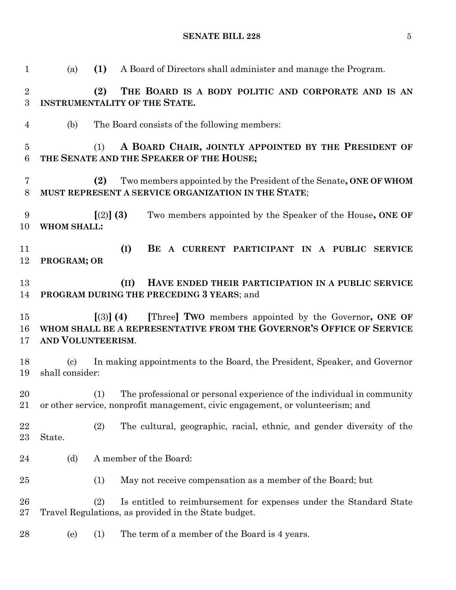| $\mathbf{1}$                      | (a)                    | (1)<br>A Board of Directors shall administer and manage the Program.                                                                                     |
|-----------------------------------|------------------------|----------------------------------------------------------------------------------------------------------------------------------------------------------|
| $\overline{2}$<br>3               |                        | (2)<br>THE BOARD IS A BODY POLITIC AND CORPORATE AND IS AN<br>INSTRUMENTALITY OF THE STATE.                                                              |
| 4                                 | (b)                    | The Board consists of the following members:                                                                                                             |
| $\overline{5}$<br>$6\phantom{.}6$ |                        | A BOARD CHAIR, JOINTLY APPOINTED BY THE PRESIDENT OF<br>(1)<br>THE SENATE AND THE SPEAKER OF THE HOUSE;                                                  |
| 7<br>$8\,$                        |                        | (2)<br>Two members appointed by the President of the Senate, ONE OF WHOM<br>MUST REPRESENT A SERVICE ORGANIZATION IN THE STATE;                          |
| 9<br>10                           | <b>WHOM SHALL:</b>     | [(2)] (3)<br>Two members appointed by the Speaker of the House, ONE OF                                                                                   |
| 11<br>12                          | PROGRAM; OR            | (I)<br>BE A CURRENT PARTICIPANT IN A PUBLIC<br><b>SERVICE</b>                                                                                            |
| 13<br>14                          |                        | (II)<br>HAVE ENDED THEIR PARTICIPATION IN A PUBLIC SERVICE<br>PROGRAM DURING THE PRECEDING 3 YEARS; and                                                  |
| 15<br>16<br>17                    | AND VOLUNTEERISM.      | [Three] TWO members appointed by the Governor, ONE OF<br>$(3)$ (4)<br>WHOM SHALL BE A REPRESENTATIVE FROM THE GOVERNOR'S OFFICE OF SERVICE               |
| 18<br>19                          | (c)<br>shall consider: | In making appointments to the Board, the President, Speaker, and Governor                                                                                |
| 20<br>21                          | (1)                    | The professional or personal experience of the individual in community<br>or other service, nonprofit management, civic engagement, or volunteerism; and |
| 22<br>23                          | (2)<br>State.          | The cultural, geographic, racial, ethnic, and gender diversity of the                                                                                    |
| 24                                | (d)                    | A member of the Board:                                                                                                                                   |
| 25                                | (1)                    | May not receive compensation as a member of the Board; but                                                                                               |
| 26<br>$27\,$                      | (2)                    | Is entitled to reimbursement for expenses under the Standard State<br>Travel Regulations, as provided in the State budget.                               |
| 28                                | (1)<br>(e)             | The term of a member of the Board is 4 years.                                                                                                            |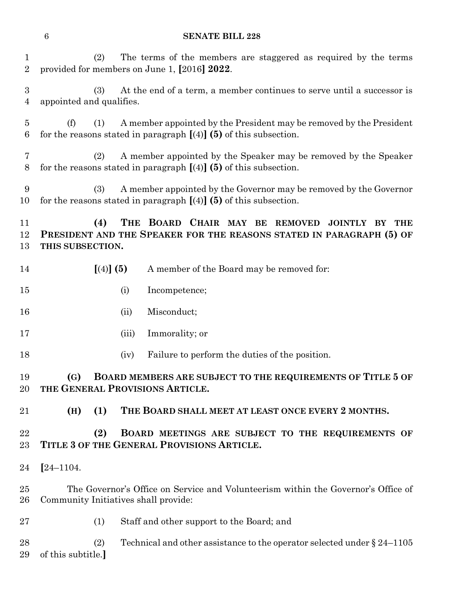| $\mathbf 1$<br>$\overline{2}$     |                          | (2)       |       | The terms of the members are staggered as required by the terms<br>provided for members on June 1, [2016] 2022.                            |
|-----------------------------------|--------------------------|-----------|-------|--------------------------------------------------------------------------------------------------------------------------------------------|
| $\sqrt{3}$<br>$\overline{4}$      | appointed and qualifies. | (3)       |       | At the end of a term, a member continues to serve until a successor is                                                                     |
| $\overline{5}$<br>$6\phantom{.}6$ | (f)                      | (1)       |       | A member appointed by the President may be removed by the President<br>for the reasons stated in paragraph $[(4)]$ (5) of this subsection. |
| 7<br>8                            |                          | (2)       |       | A member appointed by the Speaker may be removed by the Speaker<br>for the reasons stated in paragraph $[(4)]$ (5) of this subsection.     |
| 9<br>10                           |                          | (3)       |       | A member appointed by the Governor may be removed by the Governor<br>for the reasons stated in paragraph $[(4)]$ (5) of this subsection.   |
| 11<br>12<br>13                    | THIS SUBSECTION.         | (4)       |       | THE BOARD CHAIR MAY BE REMOVED<br>JOINTLY BY THE<br>PRESIDENT AND THE SPEAKER FOR THE REASONS STATED IN PARAGRAPH (5) OF                   |
| 14                                |                          | [(4)] (5) |       | A member of the Board may be removed for:                                                                                                  |
| 15                                |                          |           | (i)   | Incompetence;                                                                                                                              |
| 16                                |                          |           | (ii)  | Misconduct;                                                                                                                                |
| 17                                |                          |           | (iii) | Immorality; or                                                                                                                             |
| 18                                |                          |           | (iv)  | Failure to perform the duties of the position.                                                                                             |
| 19<br>20                          | (G)                      |           |       | BOARD MEMBERS ARE SUBJECT TO THE REQUIREMENTS OF TITLE 5 OF<br>THE GENERAL PROVISIONS ARTICLE.                                             |
| 21                                | (H)                      | (1)       |       | THE BOARD SHALL MEET AT LEAST ONCE EVERY 2 MONTHS.                                                                                         |
| 22<br>23                          |                          | (2)       |       | BOARD MEETINGS ARE SUBJECT TO THE REQUIREMENTS OF<br>TITLE 3 OF THE GENERAL PROVISIONS ARTICLE.                                            |
| 24                                | $[24 - 1104.$            |           |       |                                                                                                                                            |
| 25<br>26                          |                          |           |       | The Governor's Office on Service and Volunteerism within the Governor's Office of<br>Community Initiatives shall provide:                  |
| 27                                |                          | (1)       |       | Staff and other support to the Board; and                                                                                                  |
| 28<br>29                          | of this subtitle.]       | (2)       |       | Technical and other assistance to the operator selected under $\S 24-1105$                                                                 |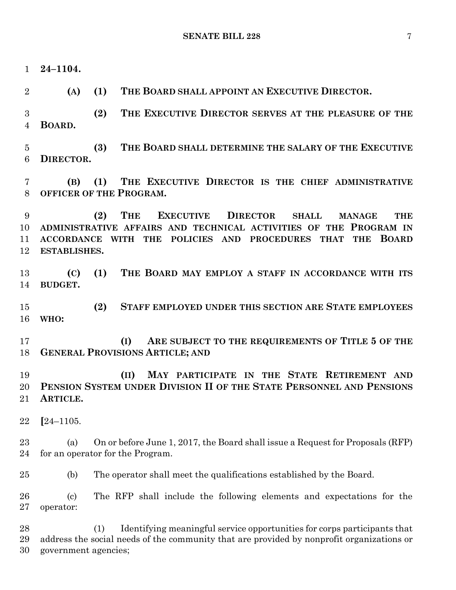**24–1104. (A) (1) THE BOARD SHALL APPOINT AN EXECUTIVE DIRECTOR. (2) THE EXECUTIVE DIRECTOR SERVES AT THE PLEASURE OF THE BOARD. (3) THE BOARD SHALL DETERMINE THE SALARY OF THE EXECUTIVE DIRECTOR. (B) (1) THE EXECUTIVE DIRECTOR IS THE CHIEF ADMINISTRATIVE OFFICER OF THE PROGRAM. (2) THE EXECUTIVE DIRECTOR SHALL MANAGE THE ADMINISTRATIVE AFFAIRS AND TECHNICAL ACTIVITIES OF THE PROGRAM IN ACCORDANCE WITH THE POLICIES AND PROCEDURES THAT THE BOARD ESTABLISHES. (C) (1) THE BOARD MAY EMPLOY A STAFF IN ACCORDANCE WITH ITS BUDGET. (2) STAFF EMPLOYED UNDER THIS SECTION ARE STATE EMPLOYEES WHO: (I) ARE SUBJECT TO THE REQUIREMENTS OF TITLE 5 OF THE GENERAL PROVISIONS ARTICLE; AND (II) MAY PARTICIPATE IN THE STATE RETIREMENT AND PENSION SYSTEM UNDER DIVISION II OF THE STATE PERSONNEL AND PENSIONS ARTICLE. [**24–1105. (a) On or before June 1, 2017, the Board shall issue a Request for Proposals (RFP) for an operator for the Program. (b) The operator shall meet the qualifications established by the Board. (c) The RFP shall include the following elements and expectations for the operator: (1) Identifying meaningful service opportunities for corps participants that address the social needs of the community that are provided by nonprofit organizations or government agencies;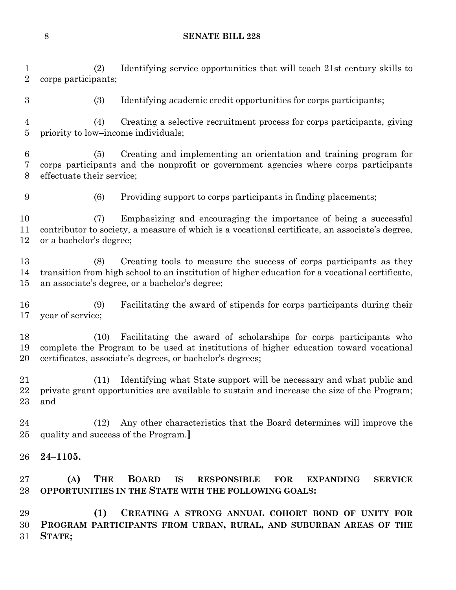(2) Identifying service opportunities that will teach 21st century skills to corps participants;

(3) Identifying academic credit opportunities for corps participants;

 (4) Creating a selective recruitment process for corps participants, giving priority to low–income individuals;

 (5) Creating and implementing an orientation and training program for corps participants and the nonprofit or government agencies where corps participants effectuate their service;

(6) Providing support to corps participants in finding placements;

 (7) Emphasizing and encouraging the importance of being a successful contributor to society, a measure of which is a vocational certificate, an associate's degree, or a bachelor's degree;

 (8) Creating tools to measure the success of corps participants as they transition from high school to an institution of higher education for a vocational certificate, an associate's degree, or a bachelor's degree;

 (9) Facilitating the award of stipends for corps participants during their year of service;

 (10) Facilitating the award of scholarships for corps participants who complete the Program to be used at institutions of higher education toward vocational certificates, associate's degrees, or bachelor's degrees;

 (11) Identifying what State support will be necessary and what public and private grant opportunities are available to sustain and increase the size of the Program; and

 (12) Any other characteristics that the Board determines will improve the quality and success of the Program.**]**

**24–1105.**

 **(A) THE BOARD IS RESPONSIBLE FOR EXPANDING SERVICE OPPORTUNITIES IN THE STATE WITH THE FOLLOWING GOALS:**

 **(1) CREATING A STRONG ANNUAL COHORT BOND OF UNITY FOR PROGRAM PARTICIPANTS FROM URBAN, RURAL, AND SUBURBAN AREAS OF THE STATE;**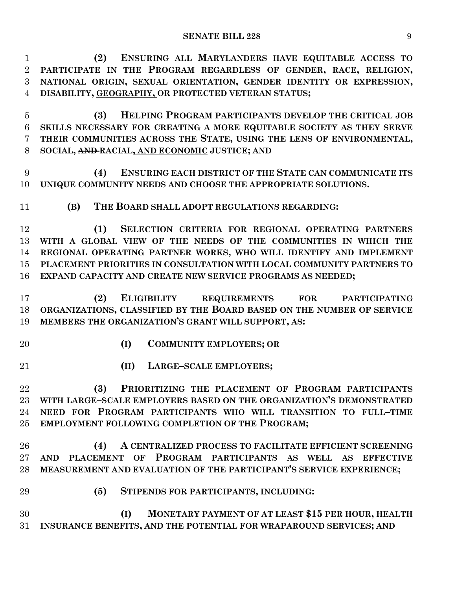| $\mathbf{1}$   | ENSURING ALL MARYLANDERS HAVE EQUITABLE ACCESS TO<br>(2)              |
|----------------|-----------------------------------------------------------------------|
| $\overline{2}$ | PARTICIPATE IN THE PROGRAM REGARDLESS OF GENDER, RACE, RELIGION,      |
| 3              | NATIONAL ORIGIN, SEXUAL ORIENTATION, GENDER IDENTITY OR EXPRESSION,   |
| $\overline{4}$ | DISABILITY, GEOGRAPHY, OR PROTECTED VETERAN STATUS;                   |
| $\overline{5}$ | HELPING PROGRAM PARTICIPANTS DEVELOP THE CRITICAL JOB<br>(3)          |
| 6              | SKILLS NECESSARY FOR CREATING A MORE EQUITABLE SOCIETY AS THEY SERVE  |
| 7              | THEIR COMMUNITIES ACROSS THE STATE, USING THE LENS OF ENVIRONMENTAL,  |
| 8              | SOCIAL, AND RACIAL, AND ECONOMIC JUSTICE; AND                         |
| 9              | ENSURING EACH DISTRICT OF THE STATE CAN COMMUNICATE ITS<br>(4)        |
| 10             | UNIQUE COMMUNITY NEEDS AND CHOOSE THE APPROPRIATE SOLUTIONS.          |
| 11             | (B)<br>THE BOARD SHALL ADOPT REGULATIONS REGARDING:                   |
| 12             | SELECTION CRITERIA FOR REGIONAL OPERATING PARTNERS<br>(1)             |
| 13             | WITH A GLOBAL VIEW OF THE NEEDS OF THE COMMUNITIES IN WHICH THE       |
| 14             | REGIONAL OPERATING PARTNER WORKS, WHO WILL IDENTIFY AND IMPLEMENT     |
| 15             | PLACEMENT PRIORITIES IN CONSULTATION WITH LOCAL COMMUNITY PARTNERS TO |
| 16             | EXPAND CAPACITY AND CREATE NEW SERVICE PROGRAMS AS NEEDED;            |
| 17             | ELIGIBILITY REQUIREMENTS FOR<br>(2)<br><b>PARTICIPATING</b>           |
| 18             | ORGANIZATIONS, CLASSIFIED BY THE BOARD BASED ON THE NUMBER OF SERVICE |
| 19             | MEMBERS THE ORGANIZATION'S GRANT WILL SUPPORT, AS:                    |
| 20             | <b>COMMUNITY EMPLOYERS; OR</b><br>(I)                                 |
| 21             | (II)<br><b>LARGE-SCALE EMPLOYERS;</b>                                 |
| $\bf{22}$      | (3) PRIORITIZING THE PLACEMENT OF PROGRAM PARTICIPANTS                |
| 23             | WITH LARGE-SCALE EMPLOYERS BASED ON THE ORGANIZATION'S DEMONSTRATED   |
| 24             | NEED FOR PROGRAM PARTICIPANTS WHO WILL TRANSITION TO FULL-TIME        |
| $25\,$         | <b>EMPLOYMENT FOLLOWING COMPLETION OF THE PROGRAM;</b>                |
| 26             | A CENTRALIZED PROCESS TO FACILITATE EFFICIENT SCREENING<br>(4)        |
| 27             | AND PLACEMENT OF PROGRAM PARTICIPANTS AS WELL AS EFFECTIVE            |
| 28             | MEASUREMENT AND EVALUATION OF THE PARTICIPANT'S SERVICE EXPERIENCE;   |
| 29             | (5)<br>STIPENDS FOR PARTICIPANTS, INCLUDING:                          |
| 30             | (I)<br>MONETARY PAYMENT OF AT LEAST \$15 PER HOUR, HEALTH             |
| 31             | INSURANCE BENEFITS, AND THE POTENTIAL FOR WRAPAROUND SERVICES; AND    |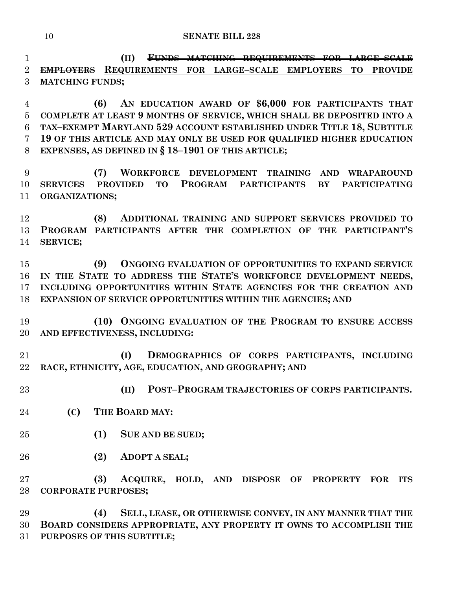**(II) FUNDS MATCHING REQUIREMENTS FOR LARGE–SCALE EMPLOYERS REQUIREMENTS FOR LARGE–SCALE EMPLOYERS TO PROVIDE MATCHING FUNDS;**

 **(6) AN EDUCATION AWARD OF \$6,000 FOR PARTICIPANTS THAT COMPLETE AT LEAST 9 MONTHS OF SERVICE, WHICH SHALL BE DEPOSITED INTO A TAX–EXEMPT MARYLAND 529 ACCOUNT ESTABLISHED UNDER TITLE 18, SUBTITLE 19 OF THIS ARTICLE AND MAY ONLY BE USED FOR QUALIFIED HIGHER EDUCATION EXPENSES, AS DEFINED IN § 18–1901 OF THIS ARTICLE;**

 **(7) WORKFORCE DEVELOPMENT TRAINING AND WRAPAROUND SERVICES PROVIDED TO PROGRAM PARTICIPANTS BY PARTICIPATING ORGANIZATIONS;**

 **(8) ADDITIONAL TRAINING AND SUPPORT SERVICES PROVIDED TO PROGRAM PARTICIPANTS AFTER THE COMPLETION OF THE PARTICIPANT'S SERVICE;**

 **(9) ONGOING EVALUATION OF OPPORTUNITIES TO EXPAND SERVICE IN THE STATE TO ADDRESS THE STATE'S WORKFORCE DEVELOPMENT NEEDS, INCLUDING OPPORTUNITIES WITHIN STATE AGENCIES FOR THE CREATION AND EXPANSION OF SERVICE OPPORTUNITIES WITHIN THE AGENCIES; AND**

 **(10) ONGOING EVALUATION OF THE PROGRAM TO ENSURE ACCESS AND EFFECTIVENESS, INCLUDING:**

 **(I) DEMOGRAPHICS OF CORPS PARTICIPANTS, INCLUDING RACE, ETHNICITY, AGE, EDUCATION, AND GEOGRAPHY; AND** 

**(II) POST–PROGRAM TRAJECTORIES OF CORPS PARTICIPANTS.**

- **(C) THE BOARD MAY:**
- **(1) SUE AND BE SUED;**
- **(2) ADOPT A SEAL;**

 **(3) ACQUIRE, HOLD, AND DISPOSE OF PROPERTY FOR ITS CORPORATE PURPOSES;**

 **(4) SELL, LEASE, OR OTHERWISE CONVEY, IN ANY MANNER THAT THE BOARD CONSIDERS APPROPRIATE, ANY PROPERTY IT OWNS TO ACCOMPLISH THE PURPOSES OF THIS SUBTITLE;**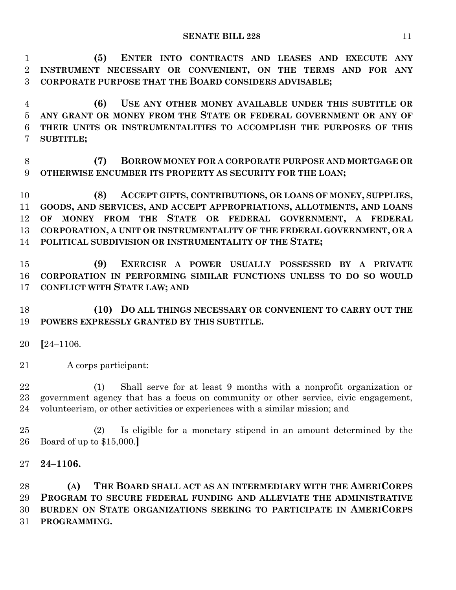**(5) ENTER INTO CONTRACTS AND LEASES AND EXECUTE ANY INSTRUMENT NECESSARY OR CONVENIENT, ON THE TERMS AND FOR ANY CORPORATE PURPOSE THAT THE BOARD CONSIDERS ADVISABLE;**

 **(6) USE ANY OTHER MONEY AVAILABLE UNDER THIS SUBTITLE OR ANY GRANT OR MONEY FROM THE STATE OR FEDERAL GOVERNMENT OR ANY OF THEIR UNITS OR INSTRUMENTALITIES TO ACCOMPLISH THE PURPOSES OF THIS SUBTITLE;**

 **(7) BORROW MONEY FOR A CORPORATE PURPOSE AND MORTGAGE OR OTHERWISE ENCUMBER ITS PROPERTY AS SECURITY FOR THE LOAN;**

 **(8) ACCEPT GIFTS, CONTRIBUTIONS, OR LOANS OF MONEY, SUPPLIES, GOODS, AND SERVICES, AND ACCEPT APPROPRIATIONS, ALLOTMENTS, AND LOANS OF MONEY FROM THE STATE OR FEDERAL GOVERNMENT, A FEDERAL CORPORATION, A UNIT OR INSTRUMENTALITY OF THE FEDERAL GOVERNMENT, OR A POLITICAL SUBDIVISION OR INSTRUMENTALITY OF THE STATE;**

 **(9) EXERCISE A POWER USUALLY POSSESSED BY A PRIVATE CORPORATION IN PERFORMING SIMILAR FUNCTIONS UNLESS TO DO SO WOULD CONFLICT WITH STATE LAW; AND**

 **(10) DO ALL THINGS NECESSARY OR CONVENIENT TO CARRY OUT THE POWERS EXPRESSLY GRANTED BY THIS SUBTITLE.**

- **[**24–1106.
- A corps participant:

 (1) Shall serve for at least 9 months with a nonprofit organization or government agency that has a focus on community or other service, civic engagement, volunteerism, or other activities or experiences with a similar mission; and

 (2) Is eligible for a monetary stipend in an amount determined by the Board of up to \$15,000.**]**

**24–1106.**

 **(A) THE BOARD SHALL ACT AS AN INTERMEDIARY WITH THE AMERICORPS PROGRAM TO SECURE FEDERAL FUNDING AND ALLEVIATE THE ADMINISTRATIVE BURDEN ON STATE ORGANIZATIONS SEEKING TO PARTICIPATE IN AMERICORPS PROGRAMMING.**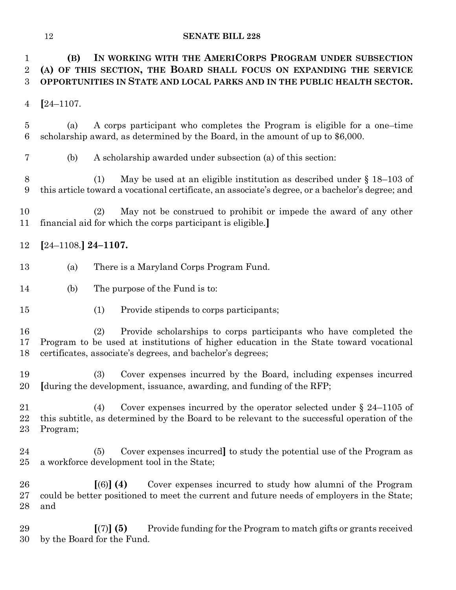| $\mathbf 1$<br>$\overline{2}$<br>3 | (B)                   | IN WORKING WITH THE AMERICORPS PROGRAM UNDER SUBSECTION<br>(A) OF THIS SECTION, THE BOARD SHALL FOCUS ON EXPANDING THE SERVICE<br>OPPORTUNITIES IN STATE AND LOCAL PARKS AND IN THE PUBLIC HEALTH SECTOR.                       |
|------------------------------------|-----------------------|---------------------------------------------------------------------------------------------------------------------------------------------------------------------------------------------------------------------------------|
| 4                                  | $[24 - 1107]$         |                                                                                                                                                                                                                                 |
| $\overline{5}$<br>6                | (a)                   | A corps participant who completes the Program is eligible for a one-time<br>scholarship award, as determined by the Board, in the amount of up to $$6,000$ .                                                                    |
| 7                                  | (b)                   | A scholarship awarded under subsection (a) of this section:                                                                                                                                                                     |
| $8\,$<br>9                         |                       | May be used at an eligible institution as described under $\S 18-103$ of<br>(1)<br>this article toward a vocational certificate, an associate's degree, or a bachelor's degree; and                                             |
| 10<br>11                           |                       | May not be construed to prohibit or impede the award of any other<br>(2)<br>financial aid for which the corps participant is eligible.                                                                                          |
| 12                                 | $[24-1108.]$ 24-1107. |                                                                                                                                                                                                                                 |
| 13                                 | (a)                   | There is a Maryland Corps Program Fund.                                                                                                                                                                                         |
| 14                                 | (b)                   | The purpose of the Fund is to:                                                                                                                                                                                                  |
| 15                                 |                       | (1)<br>Provide stipends to corps participants;                                                                                                                                                                                  |
| 16<br>17<br>18                     |                       | (2)<br>Provide scholarships to corps participants who have completed the<br>Program to be used at institutions of higher education in the State toward vocational<br>certificates, associate's degrees, and bachelor's degrees; |
| 19<br>20                           |                       | Cover expenses incurred by the Board, including expenses incurred<br>(3)<br>[during the development, issuance, awarding, and funding of the RFP;                                                                                |
| 21<br>22<br>23                     | Program;              | Cover expenses incurred by the operator selected under $\S$ 24–1105 of<br>(4)<br>this subtitle, as determined by the Board to be relevant to the successful operation of the                                                    |
| 24<br>25                           |                       | Cover expenses incurred to study the potential use of the Program as<br>(5)<br>a workforce development tool in the State;                                                                                                       |
| 26<br>27<br>28                     | and                   | $(6)$ (4)<br>Cover expenses incurred to study how alumni of the Program<br>could be better positioned to meet the current and future needs of employers in the State;                                                           |
| 29<br>30                           |                       | $[(7)]$ (5)<br>Provide funding for the Program to match gifts or grants received<br>by the Board for the Fund.                                                                                                                  |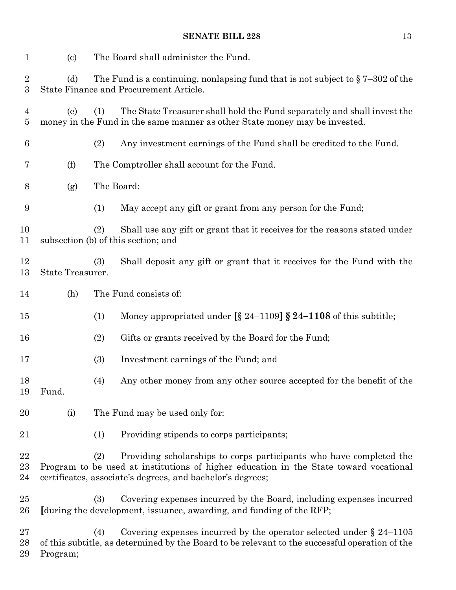| $\mathbf{1}$                       | $\left( \mathrm{c}\right)$ |     | The Board shall administer the Fund.                                                                                                                                                                                       |
|------------------------------------|----------------------------|-----|----------------------------------------------------------------------------------------------------------------------------------------------------------------------------------------------------------------------------|
| $\overline{2}$<br>$\boldsymbol{3}$ | (d)                        |     | The Fund is a continuing, nonlapsing fund that is not subject to $\S 7-302$ of the<br>State Finance and Procurement Article.                                                                                               |
| 4<br>5                             | (e)                        | (1) | The State Treasurer shall hold the Fund separately and shall invest the<br>money in the Fund in the same manner as other State money may be invested.                                                                      |
| $\boldsymbol{6}$                   |                            | (2) | Any investment earnings of the Fund shall be credited to the Fund.                                                                                                                                                         |
| 7                                  | (f)                        |     | The Comptroller shall account for the Fund.                                                                                                                                                                                |
| 8                                  | (g)                        |     | The Board:                                                                                                                                                                                                                 |
| 9                                  |                            | (1) | May accept any gift or grant from any person for the Fund;                                                                                                                                                                 |
| 10<br>11                           |                            | (2) | Shall use any gift or grant that it receives for the reasons stated under<br>subsection (b) of this section; and                                                                                                           |
| 12<br>13                           | State Treasurer.           | (3) | Shall deposit any gift or grant that it receives for the Fund with the                                                                                                                                                     |
| 14                                 | (h)                        |     | The Fund consists of:                                                                                                                                                                                                      |
| 15                                 |                            | (1) | Money appropriated under $\S$ 24–1109] $\S$ 24–1108 of this subtitle;                                                                                                                                                      |
| 16                                 |                            | (2) | Gifts or grants received by the Board for the Fund;                                                                                                                                                                        |
| 17                                 |                            | (3) | Investment earnings of the Fund; and                                                                                                                                                                                       |
| 18<br>19                           | Fund.                      | (4) | Any other money from any other source accepted for the benefit of the                                                                                                                                                      |
| 20                                 | (i)                        |     | The Fund may be used only for:                                                                                                                                                                                             |
| 21                                 |                            | (1) | Providing stipends to corps participants;                                                                                                                                                                                  |
| 22<br>23<br>24                     |                            | (2) | Providing scholarships to corps participants who have completed the<br>Program to be used at institutions of higher education in the State toward vocational<br>certificates, associate's degrees, and bachelor's degrees; |
| 25<br>26                           |                            | (3) | Covering expenses incurred by the Board, including expenses incurred<br>[during the development, issuance, awarding, and funding of the RFP;                                                                               |
| 27<br>28                           |                            | (4) | Covering expenses incurred by the operator selected under $\S 24-1105$<br>of this subtitle, as determined by the Board to be relevant to the successful operation of the                                                   |

Program;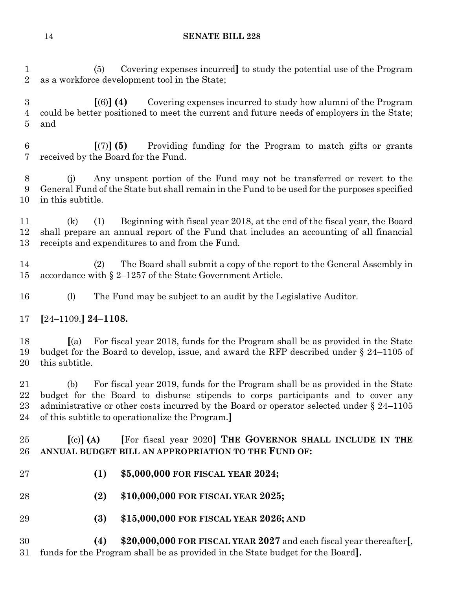(5) Covering expenses incurred**]** to study the potential use of the Program as a workforce development tool in the State;

 **[**(6)**] (4)** Covering expenses incurred to study how alumni of the Program could be better positioned to meet the current and future needs of employers in the State; and

 **[**(7)**] (5)** Providing funding for the Program to match gifts or grants received by the Board for the Fund.

 (j) Any unspent portion of the Fund may not be transferred or revert to the General Fund of the State but shall remain in the Fund to be used for the purposes specified in this subtitle.

 (k) (1) Beginning with fiscal year 2018, at the end of the fiscal year, the Board shall prepare an annual report of the Fund that includes an accounting of all financial receipts and expenditures to and from the Fund.

 (2) The Board shall submit a copy of the report to the General Assembly in accordance with § 2–1257 of the State Government Article.

(l) The Fund may be subject to an audit by the Legislative Auditor.

**[**24–1109.**] 24–1108.**

 **[**(a) For fiscal year 2018, funds for the Program shall be as provided in the State budget for the Board to develop, issue, and award the RFP described under § 24–1105 of this subtitle.

 (b) For fiscal year 2019, funds for the Program shall be as provided in the State budget for the Board to disburse stipends to corps participants and to cover any 23 administrative or other costs incurred by the Board or operator selected under § 24–1105 of this subtitle to operationalize the Program.**]**

 **[**(c)**] (A) [**For fiscal year 2020**] THE GOVERNOR SHALL INCLUDE IN THE ANNUAL BUDGET BILL AN APPROPRIATION TO THE FUND OF:**

- **(1) \$5,000,000 FOR FISCAL YEAR 2024;**
- **(2) \$10,000,000 FOR FISCAL YEAR 2025;**
- **(3) \$15,000,000 FOR FISCAL YEAR 2026; AND**

 **(4) \$20,000,000 FOR FISCAL YEAR 2027** and each fiscal year thereafter**[**, funds for the Program shall be as provided in the State budget for the Board**].**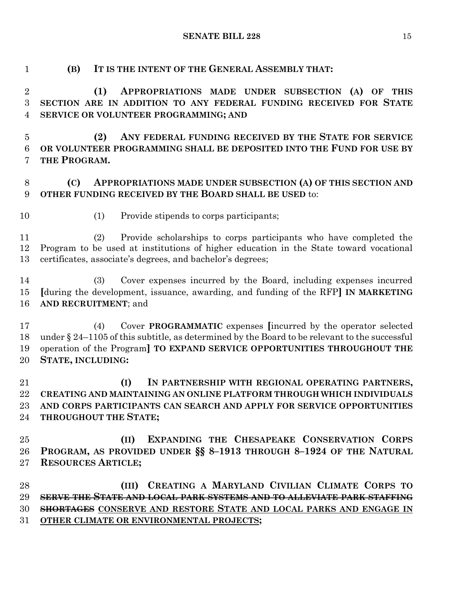**(B) IT IS THE INTENT OF THE GENERAL ASSEMBLY THAT:**

 **(1) APPROPRIATIONS MADE UNDER SUBSECTION (A) OF THIS SECTION ARE IN ADDITION TO ANY FEDERAL FUNDING RECEIVED FOR STATE SERVICE OR VOLUNTEER PROGRAMMING; AND (2) ANY FEDERAL FUNDING RECEIVED BY THE STATE FOR SERVICE OR VOLUNTEER PROGRAMMING SHALL BE DEPOSITED INTO THE FUND FOR USE BY THE PROGRAM. (C) APPROPRIATIONS MADE UNDER SUBSECTION (A) OF THIS SECTION AND OTHER FUNDING RECEIVED BY THE BOARD SHALL BE USED** to: (1) Provide stipends to corps participants; (2) Provide scholarships to corps participants who have completed the Program to be used at institutions of higher education in the State toward vocational certificates, associate's degrees, and bachelor's degrees; (3) Cover expenses incurred by the Board, including expenses incurred **[**during the development, issuance, awarding, and funding of the RFP**] IN MARKETING AND RECRUITMENT**; and (4) Cover **PROGRAMMATIC** expenses **[**incurred by the operator selected under § 24–1105 of this subtitle, as determined by the Board to be relevant to the successful operation of the Program**] TO EXPAND SERVICE OPPORTUNITIES THROUGHOUT THE STATE, INCLUDING: (I) IN PARTNERSHIP WITH REGIONAL OPERATING PARTNERS, CREATING AND MAINTAINING AN ONLINE PLATFORM THROUGH WHICH INDIVIDUALS AND CORPS PARTICIPANTS CAN SEARCH AND APPLY FOR SERVICE OPPORTUNITIES THROUGHOUT THE STATE; (II) EXPANDING THE CHESAPEAKE CONSERVATION CORPS PROGRAM, AS PROVIDED UNDER §§ 8–1913 THROUGH 8–1924 OF THE NATURAL RESOURCES ARTICLE; (III) CREATING A MARYLAND CIVILIAN CLIMATE CORPS TO SERVE THE STATE AND LOCAL PARK SYSTEMS AND TO ALLEVIATE PARK STAFFING SHORTAGES CONSERVE AND RESTORE STATE AND LOCAL PARKS AND ENGAGE IN OTHER CLIMATE OR ENVIRONMENTAL PROJECTS;**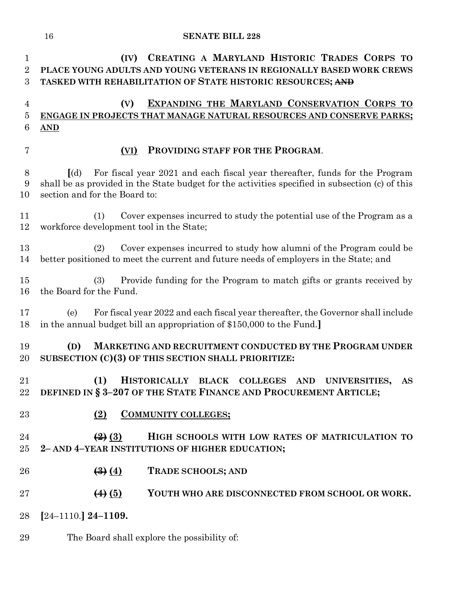| 1<br>$\overline{2}$<br>3 | CREATING A MARYLAND HISTORIC TRADES CORPS TO<br>(IV)<br>PLACE YOUNG ADULTS AND YOUNG VETERANS IN REGIONALLY BASED WORK CREWS<br>TASKED WITH REHABILITATION OF STATE HISTORIC RESOURCES; AND                                     |
|--------------------------|---------------------------------------------------------------------------------------------------------------------------------------------------------------------------------------------------------------------------------|
| $\overline{4}$<br>5<br>6 | EXPANDING THE MARYLAND CONSERVATION CORPS TO<br>(V)<br>ENGAGE IN PROJECTS THAT MANAGE NATURAL RESOURCES AND CONSERVE PARKS;<br>$\overline{\text{AND}}$                                                                          |
| $\overline{7}$           | PROVIDING STAFF FOR THE PROGRAM.<br>(VI)                                                                                                                                                                                        |
| $8\,$<br>9<br>10         | For fiscal year 2021 and each fiscal year thereafter, funds for the Program<br>$\lceil$ (d)<br>shall be as provided in the State budget for the activities specified in subsection (c) of this<br>section and for the Board to: |
| 11<br>12                 | Cover expenses incurred to study the potential use of the Program as a<br>(1)<br>workforce development tool in the State;                                                                                                       |
| 13<br>14                 | Cover expenses incurred to study how alumni of the Program could be<br>(2)<br>better positioned to meet the current and future needs of employers in the State; and                                                             |
| 15<br>16                 | Provide funding for the Program to match gifts or grants received by<br>(3)<br>the Board for the Fund.                                                                                                                          |
| 17<br>18                 | For fiscal year 2022 and each fiscal year thereafter, the Governor shall include<br>(e)<br>in the annual budget bill an appropriation of \$150,000 to the Fund.                                                                 |
| 19<br>20                 | MARKETING AND RECRUITMENT CONDUCTED BY THE PROGRAM UNDER<br>(D)<br>SUBSECTION (C)(3) OF THIS SECTION SHALL PRIORITIZE:                                                                                                          |
| 21<br>22                 | (1)<br><b>HISTORICALLY</b><br><b>BLACK</b><br><b>COLLEGES</b><br>AND UNIVERSITIES,<br>AS<br>DEFINED IN § 3-207 OF THE STATE FINANCE AND PROCUREMENT ARTICLE;                                                                    |
| 23                       | <b>COMMUNITY COLLEGES;</b><br>(2)                                                                                                                                                                                               |
| 24<br>25                 | $\left(\frac{2}{2}\right)$ $\left(\frac{3}{2}\right)$<br>HIGH SCHOOLS WITH LOW RATES OF MATRICULATION TO<br>2-AND 4-YEAR INSTITUTIONS OF HIGHER EDUCATION;                                                                      |
| 26                       | $\left(\frac{3}{2}\right)\left(\frac{4}{2}\right)$<br><b>TRADE SCHOOLS; AND</b>                                                                                                                                                 |
| 27                       | $\left( 4 \right)$ $\left( 5 \right)$<br>YOUTH WHO ARE DISCONNECTED FROM SCHOOL OR WORK.                                                                                                                                        |
| 28                       | $[24-1110.]$ 24-1109.                                                                                                                                                                                                           |
| 29                       | The Board shall explore the possibility of:                                                                                                                                                                                     |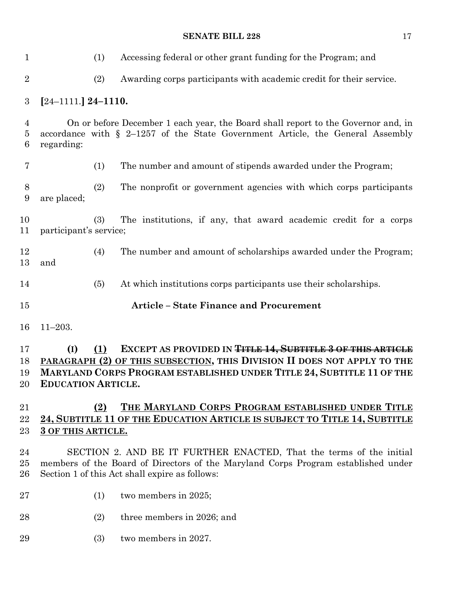| $\mathbf{1}$             | (1)                                     | Accessing federal or other grant funding for the Program; and                                                                                                                                                              |
|--------------------------|-----------------------------------------|----------------------------------------------------------------------------------------------------------------------------------------------------------------------------------------------------------------------------|
| $\overline{2}$           | (2)                                     | Awarding corps participants with academic credit for their service.                                                                                                                                                        |
| $\boldsymbol{3}$         | $[24-1111.]$ 24-1110.                   |                                                                                                                                                                                                                            |
| 4<br>$\overline{5}$<br>6 | regarding:                              | On or before December 1 each year, the Board shall report to the Governor and, in<br>accordance with $\S$ 2-1257 of the State Government Article, the General Assembly                                                     |
| 7                        | (1)                                     | The number and amount of stipends awarded under the Program;                                                                                                                                                               |
| $8\,$<br>9               | (2)<br>are placed;                      | The nonprofit or government agencies with which corps participants                                                                                                                                                         |
| 10<br>11                 | (3)<br>participant's service;           | The institutions, if any, that award academic credit for a corps                                                                                                                                                           |
| 12<br>13                 | (4)<br>and                              | The number and amount of scholarships awarded under the Program;                                                                                                                                                           |
| 14                       | (5)                                     | At which institutions corps participants use their scholarships.                                                                                                                                                           |
|                          |                                         |                                                                                                                                                                                                                            |
| 15                       |                                         | <b>Article - State Finance and Procurement</b>                                                                                                                                                                             |
| 16                       | $11 - 203.$                             |                                                                                                                                                                                                                            |
| 17<br>18<br>19<br>20     | (I)<br>(1)<br><b>EDUCATION ARTICLE.</b> | EXCEPT AS PROVIDED IN <del>TITLE 14, SUBTITLE 3 OF THIS ARTICLE</del><br>PARAGRAPH (2) OF THIS SUBSECTION, THIS DIVISION II DOES NOT APPLY TO THE<br>MARYLAND CORPS PROGRAM ESTABLISHED UNDER TITLE 24, SUBTITLE 11 OF THE |
| 21<br>22<br>23           | (2)<br>3 OF THIS ARTICLE.               | THE MARYLAND CORPS PROGRAM ESTABLISHED UNDER TITLE<br>24, SUBTITLE 11 OF THE EDUCATION ARTICLE IS SUBJECT TO TITLE 14, SUBTITLE                                                                                            |
| 24<br>25<br>26           |                                         | SECTION 2. AND BE IT FURTHER ENACTED, That the terms of the initial<br>members of the Board of Directors of the Maryland Corps Program established under<br>Section 1 of this Act shall expire as follows:                 |
| 27                       | (1)                                     | two members in 2025;                                                                                                                                                                                                       |
| 28                       | (2)                                     | three members in 2026; and                                                                                                                                                                                                 |